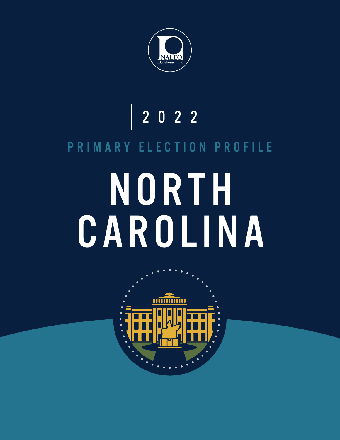

### 2022

#### PRIMARY ELECTION PROFILE

# NORTH CAROLINA

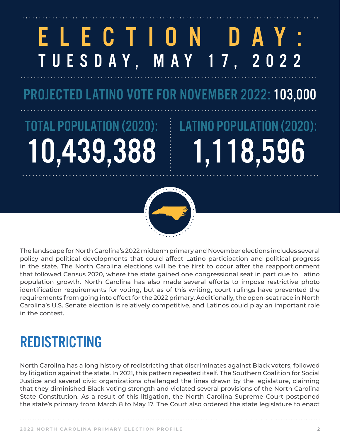### ELECTION DAY: TUESDAY, MAY 17, 2022

PROJECTED LATINO VOTE FOR NOVEMBER 2022: 103,000

## TOTAL POPULATION (2020): 10,43

# LATINO POPULATION (2020): 1,118,596



The landscape for North Carolina's 2022 midterm primary and November elections includes several policy and political developments that could affect Latino participation and political progress in the state. The North Carolina elections will be the first to occur after the reapportionment that followed Census 2020, where the state gained one congressional seat in part due to Latino population growth. North Carolina has also made several efforts to impose restrictive photo identification requirements for voting, but as of this writing, court rulings have prevented the requirements from going into effect for the 2022 primary. Additionally, the open-seat race in North Carolina's U.S. Senate election is relatively competitive, and Latinos could play an important role in the contest.

### REDISTRICTING

North Carolina has a long history of redistricting that discriminates against Black voters, followed by litigation against the state. In 2021, this pattern repeated itself. The Southern Coalition for Social Justice and several civic organizations challenged the lines drawn by the legislature, claiming that they diminished Black voting strength and violated several provisions of the North Carolina State Constitution. As a result of this litigation, the North Carolina Supreme Court postponed the state's primary from March 8 to May 17. The Court also ordered the state legislature to enact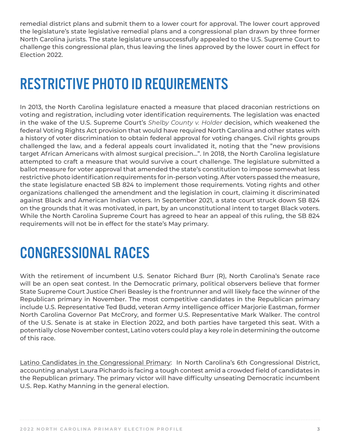remedial district plans and submit them to a lower court for approval. The lower court approved the legislature's state legislative remedial plans and a congressional plan drawn by three former North Carolina jurists. The state legislature unsuccessfully appealed to the U.S. Supreme Court to challenge this congressional plan, thus leaving the lines approved by the lower court in effect for Election 2022.

### RESTRICTIVE PHOTO ID REQUIREMENTS

In 2013, the North Carolina legislature enacted a measure that placed draconian restrictions on voting and registration, including voter identification requirements. The legislation was enacted in the wake of the U.S. Supreme Court's *Shelby County v. Holder* decision, which weakened the federal Voting Rights Act provision that would have required North Carolina and other states with a history of voter discrimination to obtain federal approval for voting changes. Civil rights groups challenged the law, and a federal appeals court invalidated it, noting that the "new provisions target African Americans with almost surgical precision…". In 2018, the North Carolina legislature attempted to craft a measure that would survive a court challenge. The legislature submitted a ballot measure for voter approval that amended the state's constitution to impose somewhat less restrictive photo identification requirements for in-person voting. After voters passed the measure, the state legislature enacted SB 824 to implement those requirements. Voting rights and other organizations challenged the amendment and the legislation in court, claiming it discriminated against Black and American Indian voters. In September 2021, a state court struck down SB 824 on the grounds that it was motivated, in part, by an unconstitutional intent to target Black voters. While the North Carolina Supreme Court has agreed to hear an appeal of this ruling, the SB 824 requirements will not be in effect for the state's May primary.

### CONGRESSIONAL RACES

With the retirement of incumbent U.S. Senator Richard Burr (R), North Carolina's Senate race will be an open seat contest. In the Democratic primary, political observers believe that former State Supreme Court Justice Cheri Beasley is the frontrunner and will likely face the winner of the Republican primary in November. The most competitive candidates in the Republican primary include U.S. Representative Ted Budd, veteran Army intelligence officer Marjorie Eastman, former North Carolina Governor Pat McCrory, and former U.S. Representative Mark Walker. The control of the U.S. Senate is at stake in Election 2022, and both parties have targeted this seat. With a potentially close November contest, Latino voters could play a key role in determining the outcome of this race.

Latino Candidates in the Congressional Primary: In North Carolina's 6th Congressional District, accounting analyst Laura Pichardo is facing a tough contest amid a crowded field of candidates in the Republican primary. The primary victor will have difficulty unseating Democratic incumbent U.S. Rep. Kathy Manning in the general election.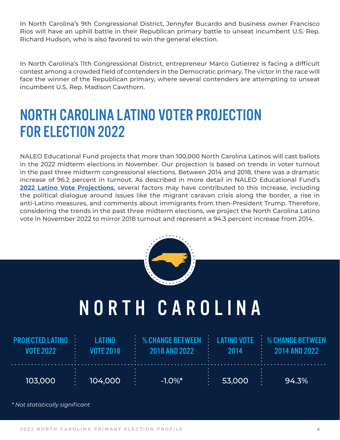In North Carolina's 9th Congressional District, Jennyfer Bucardo and business owner Francisco Rios will have an uphill battle in their Republican primary battle to unseat incumbent U.S. Rep. Richard Hudson, who is also favored to win the general election.

In North Carolina's 11th Congressional District, entrepreneur Marco Gutierrez is facing a difficult contest among a crowded field of contenders in the Democratic primary. The victor in the race will face the winner of the Republican primary, where several contenders are attempting to unseat incumbent U.S. Rep. Madison Cawthorn.

### NORTH CAROLINA LATINO VOTER PROJECTION FOR ELECTION 2022

NALEO Educational Fund projects that more than 100,000 North Carolina Latinos will cast ballots in the 2022 midterm elections in November. Our projection is based on trends in voter turnout in the past three midterm congressional elections. Between 2014 and 2018, there was a dramatic increase of 96.2 percent in turnout. As described in more detail in NALEO Educational Fund's **[2022 Latino Vote Projections](https://naleo.org/wp-content/uploads/2022/02/2_17_2022_-_NEF_Release_-_Latino_-_Vote_Projections_Release_-_Final.pdf)**, several factors may have contributed to this increase, including the political dialogue around issues like the migrant caravan crisis along the border, a rise in anti-Latino measures, and comments about immigrants from then-President Trump. Therefore, considering the trends in the past three midterm elections, we project the North Carolina Latino vote in November 2022 to mirror 2018 turnout and represent a 94.3 percent increase from 2014.



### NORTH CAROLINA

| <b>I ATINO</b><br><b>PROJECTED LATINO</b><br><b>VOTE 2018</b><br><b>VOTE 2022</b> |         | $\therefore$ % CHANGE RETWEEN $\therefore$ LATINO VOTE $\therefore$ % CHANGE RETWEEN<br>2018 AND 2022 | 2014   | 2014 AND 2022 |  |
|-----------------------------------------------------------------------------------|---------|-------------------------------------------------------------------------------------------------------|--------|---------------|--|
| 103,000                                                                           | 104,000 | $-1.0\%$ *                                                                                            | 53,000 | 94.3%         |  |

*\* Not statistically significant*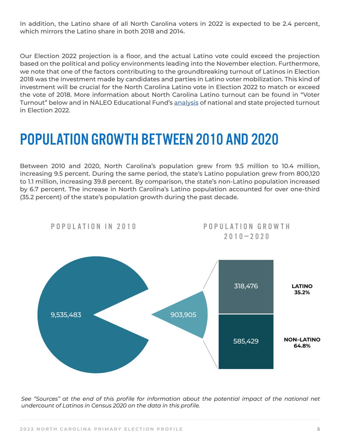In addition, the Latino share of all North Carolina voters in 2022 is expected to be 2.4 percent, which mirrors the Latino share in both 2018 and 2014.

Our Election 2022 projection is a floor, and the actual Latino vote could exceed the projection based on the political and policy environments leading into the November election. Furthermore, we note that one of the factors contributing to the groundbreaking turnout of Latinos in Election 2018 was the investment made by candidates and parties in Latino voter mobilization. This kind of investment will be crucial for the North Carolina Latino vote in Election 2022 to match or exceed the vote of 2018. More information about North Carolina Latino turnout can be found in "Voter Turnout" below and in NALEO Educational Fund's [analysis](https://naleo.org/wp-content/uploads/2022/02/2_17_2022_-_NEF_Release_-_Latino_-_Vote_Projections_Release_-_Final.pdf) of national and state projected turnout in Election 2022.

### POPULATION GROWTH BETWEEN 2010 AND 2020

Between 2010 and 2020, North Carolina's population grew from 9.5 million to 10.4 million, increasing 9.5 percent. During the same period, the state's Latino population grew from 800,120 to 1.1 million, increasing 39.8 percent. By comparison, the state's non-Latino population increased by 6.7 percent. The increase in North Carolina's Latino population accounted for over one-third (35.2 percent) of the state's population growth during the past decade.



See "Sources" at the end of this profile for information about the potential impact of the national net *undercount of Latinos in Census 2020 on the data in this profile.*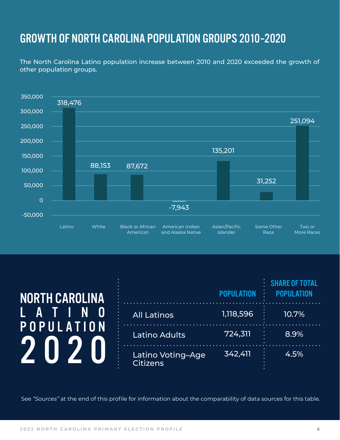#### GROWTH OF NORTH CAROLINA POPULATION GROUPS 2010-2020

The North Carolina Latino population increase between 2010 and 2020 exceeded the growth of other population groups.



| <b>NORTH CAROLINA</b> |                                      | <b><i>SHARE OF TOTAL</i></b> |       |
|-----------------------|--------------------------------------|------------------------------|-------|
| A<br>POPULATION       | <b>All Latinos</b>                   | 1,118,596                    | 10.7% |
|                       | <b>Latino Adults</b>                 | 724,311                      | 8.9%  |
|                       | Latino Voting-Age<br><b>Citizens</b> | 342,411                      | 4.5%  |

See *"Sources"* at the end of this profile for information about the comparability of data sources for this table.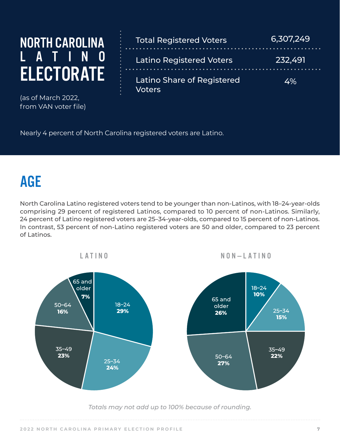### NORTH CAROLINA L A T I N O **ELECTORATE**

(as of March 2022, from VAN voter file)

| <b>Total Registered Voters</b>                     | 6,307,249 |
|----------------------------------------------------|-----------|
| <b>Latino Registered Voters</b>                    | 232,491   |
| <b>Latino Share of Registered</b><br><b>Voters</b> | 4%        |

Nearly 4 percent of North Carolina registered voters are Latino.

### AGE

North Carolina Latino registered voters tend to be younger than non-Latinos, with 18–24-year-olds comprising 29 percent of registered Latinos, compared to 10 percent of non-Latinos. Similarly, 24 percent of Latino registered voters are 25–34-year-olds, compared to 15 percent of non-Latinos. In contrast, 53 percent of non-Latino registered voters are 50 and older, compared to 23 percent of Latinos.



*Totals may not add up to 100% because of rounding.*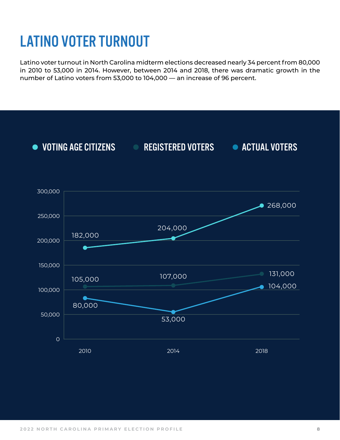### LATINO VOTER TURNOUT

Latino voter turnout in North Carolina midterm elections decreased nearly 34 percent from 80,000 in 2010 to 53,000 in 2014. However, between 2014 and 2018, there was dramatic growth in the number of Latino voters from 53,000 to 104,000 — an increase of 96 percent.

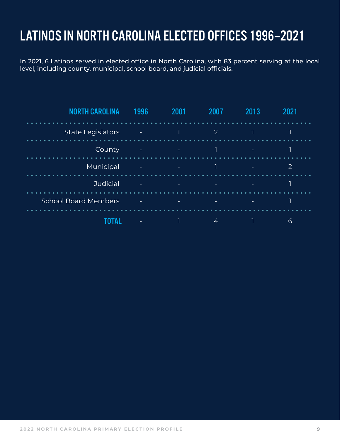#### LATINOS IN NORTH CAROLINA ELECTED OFFICES 1996-2021

In 2021, 6 Latinos served in elected office in North Carolina, with 83 percent serving at the local level, including county, municipal, school board, and judicial officials.

| NORTH CAROLI<br>ΝA          | 1996                     | 2001     | 2007                     | 2013                     | 2021           |  |
|-----------------------------|--------------------------|----------|--------------------------|--------------------------|----------------|--|
| <b>State Legislators</b>    | E                        | T        | $\overline{2}$           |                          | 1              |  |
| County                      | $\equiv$                 | $\sim$   | 1                        | $\overline{\phantom{a}}$ |                |  |
| Municipal                   | $\sim$                   | $\equiv$ | $\overline{1}$           | ۰                        | $\overline{2}$ |  |
| Judicial                    | ۰                        | -        | $\overline{\phantom{a}}$ | ۰                        |                |  |
| <b>School Board Members</b> | $\overline{\phantom{a}}$ | ۰.       | $\overline{\phantom{a}}$ | ٠                        |                |  |
|                             |                          |          | 4                        |                          | 6              |  |